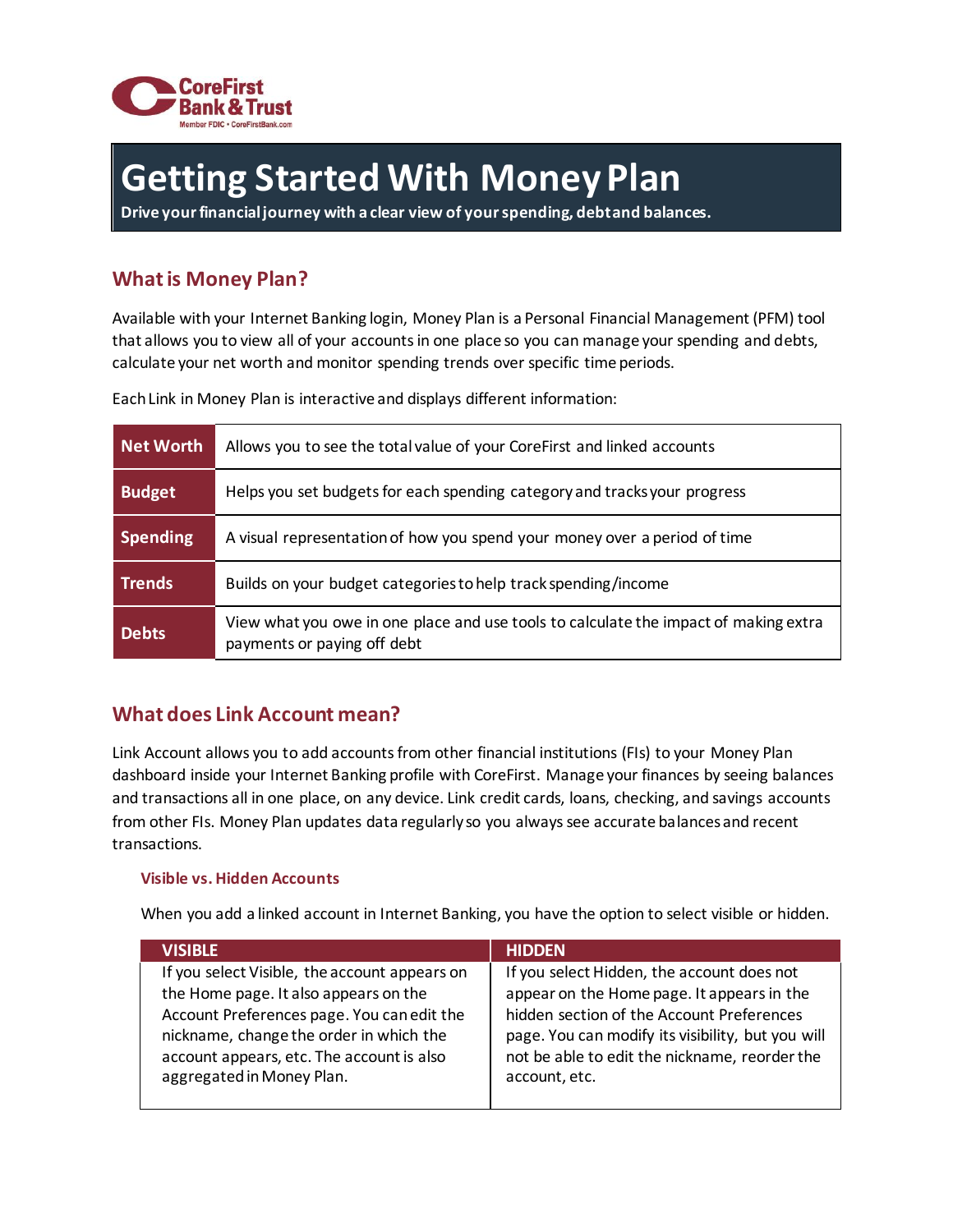

# **Getting Started With Money Plan**

**Drive your financial journey with a clear view of your spending, debt and balances.** 

# **What is Money Plan?**

Available with your Internet Banking login, Money Plan is a Personal Financial Management (PFM) tool that allows you to view all of your accounts in one place so you can manage your spending and debts, calculate your net worth and monitor spending trends over specific time periods.

Each Link in Money Plan is interactive and displays different information:

| Net Worth       | Allows you to see the total value of your CoreFirst and linked accounts                                             |
|-----------------|---------------------------------------------------------------------------------------------------------------------|
| <b>Budget</b>   | Helps you set budgets for each spending category and tracks your progress                                           |
| <b>Spending</b> | A visual representation of how you spend your money over a period of time                                           |
| <b>Trends</b>   | Builds on your budget categories to help track spending/income                                                      |
| <b>Debts</b>    | View what you owe in one place and use tools to calculate the impact of making extra<br>payments or paying off debt |

# **What does Link Account mean?**

Link Account allows you to add accounts from other financial institutions (FIs) to your Money Plan dashboard inside your Internet Banking profile with CoreFirst. Manage your finances by seeing balances and transactions all in one place, on any device. Link credit cards, loans, checking, and savings accounts from other FIs. Money Plan updates data regularly so you always see accurate balances and recent transactions.

## **Visible vs. Hidden Accounts**

When you add a linked account in Internet Banking, you have the option to select visible or hidden.

| <b>VISIBLE</b>                                | <b>HIDDEN</b>                                     |
|-----------------------------------------------|---------------------------------------------------|
| If you select Visible, the account appears on | If you select Hidden, the account does not        |
| the Home page. It also appears on the         | appear on the Home page. It appears in the        |
| Account Preferences page. You can edit the    | hidden section of the Account Preferences         |
| nickname, change the order in which the       | page. You can modify its visibility, but you will |
| account appears, etc. The account is also     | not be able to edit the nickname, reorder the     |
| aggregated in Money Plan.                     | account, etc.                                     |
|                                               |                                                   |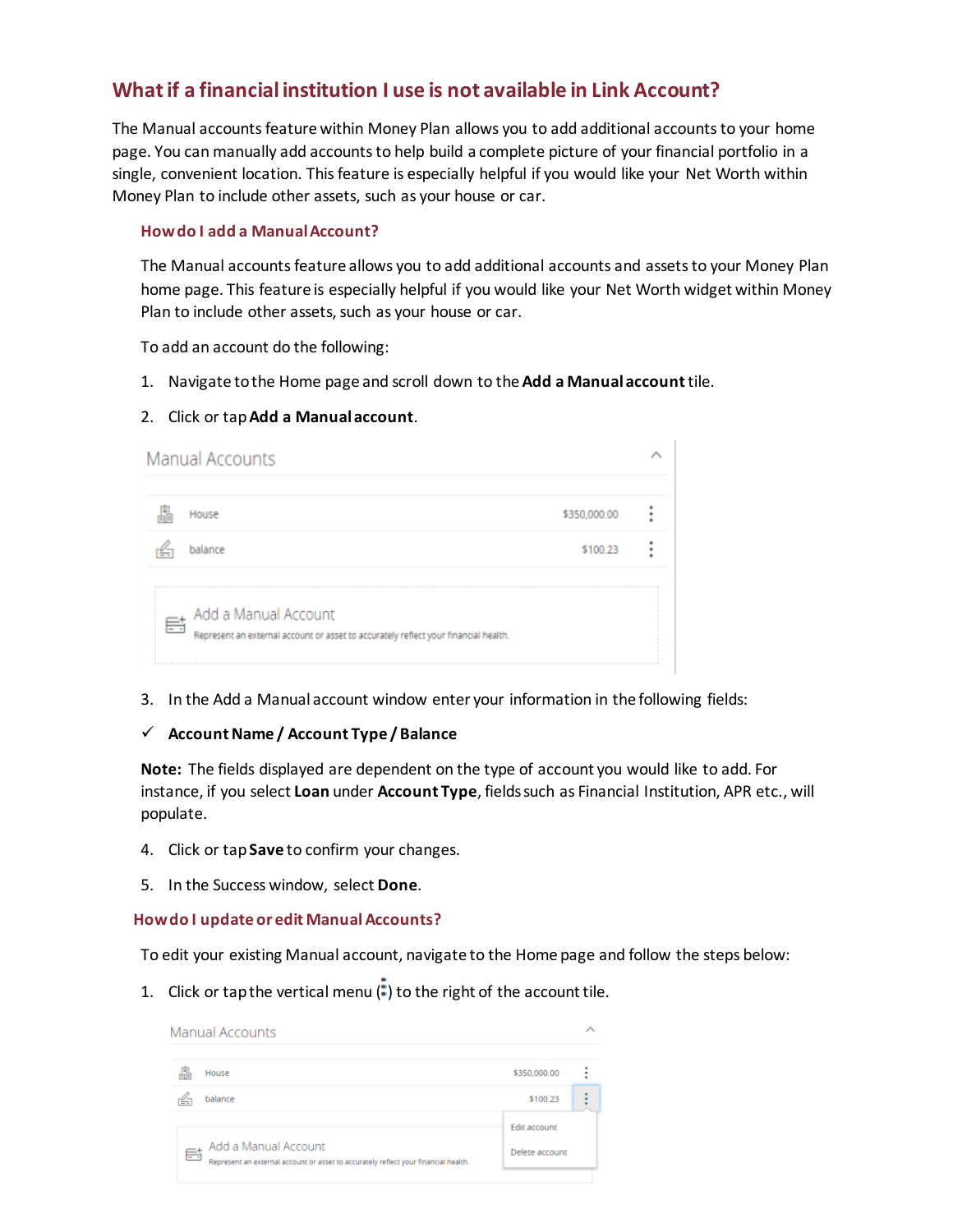# **What if a financial institution I use is not available in Link Account?**

The Manual accounts feature within Money Plan allows you to add additional accounts to your home page. You can manually add accounts to help build a complete picture of your financial portfolio in a single, convenient location. This feature is especially helpful if you would like your Net Worth within Money Plan to include other assets, such as your house or car.

#### **How do I add a Manual Account?**

The Manual accounts feature allows you to add additional accounts and assets to your Money Plan home page. This feature is especially helpful if you would like your Net Worth widget within Money Plan to include other assets, such as your house or car.

To add an account do the following:

1. Navigate to the Home page and scroll down to the **Add a Manualaccount**tile.

#### 2. Click or tap**Add a Manualaccount**.

| Manual Accounts                                                                                             |              |  |
|-------------------------------------------------------------------------------------------------------------|--------------|--|
| House                                                                                                       | \$350,000.00 |  |
| balance                                                                                                     | \$100.23     |  |
| Add a Manual Account<br>Represent an external account or asset to accurately reflect your financial health. |              |  |

3. In the Add a Manual account window enter your information in the following fields:

## **Account Name / Account Type / Balance**

**Note:** The fields displayed are dependent on the type of account you would like to add. For instance, if you select **Loan** under **Account Type**, fields such as Financial Institution, APR etc., will populate.

- 4. Click or tap**Save** to confirm your changes.
- 5. In the Success window, select **Done**.

#### **How do I update or edit Manual Accounts?**

To edit your existing Manual account, navigate to the Home page and follow the steps below:

1. Click or tap the vertical menu  $\overline{(*)}$  to the right of the account tile.

|   | <b>Manual Accounts</b>                                                                                      |                |  |
|---|-------------------------------------------------------------------------------------------------------------|----------------|--|
|   | House                                                                                                       | \$350,000.00   |  |
|   | balance                                                                                                     | \$100.23       |  |
|   |                                                                                                             | Edit account   |  |
| 手 | Add a Manual Account<br>Represent an external account or asset to accurately reflect your financial health. | Delete account |  |
|   |                                                                                                             |                |  |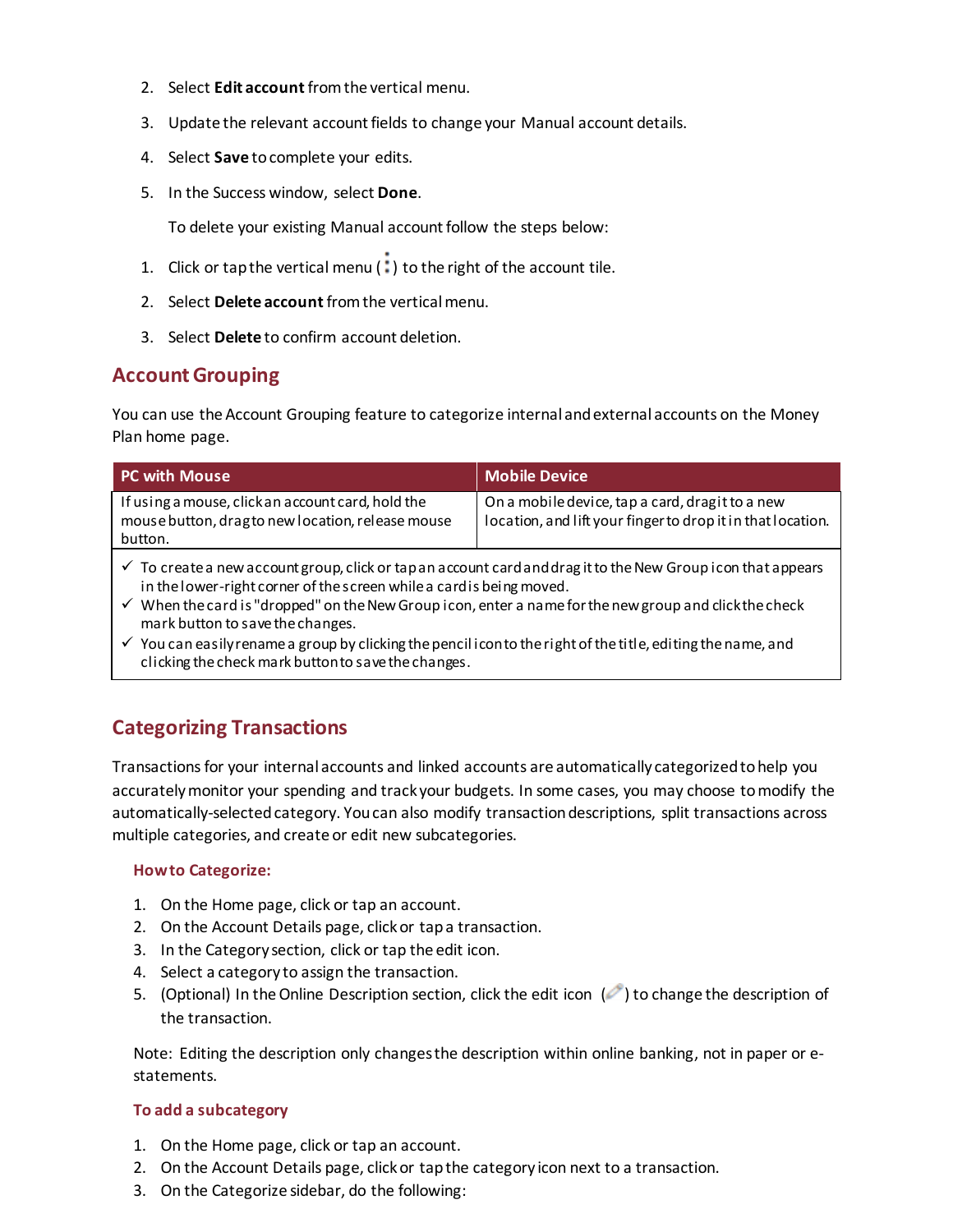- 2. Select **Edit account**from the vertical menu.
- 3. Update the relevant account fields to change your Manual account details.
- 4. Select **Save** to complete your edits.
- 5. In the Success window, select **Done**.

To delete your existing Manual account follow the steps below:

- 1. Click or tap the vertical menu  $\binom{1}{k}$  to the right of the account tile.
- 2. Select **Delete account**from the vertical menu.
- 3. Select **Delete** to confirm account deletion.

# **Account Grouping**

You can use the Account Grouping feature to categorize internal and external accounts on the Money Plan home page.

| <b>PC with Mouse</b>                                                                                                                                                                                                                                                                                                                                     | <b>Mobile Device</b>                                                                                           |  |
|----------------------------------------------------------------------------------------------------------------------------------------------------------------------------------------------------------------------------------------------------------------------------------------------------------------------------------------------------------|----------------------------------------------------------------------------------------------------------------|--|
| If using a mouse, click an account card, hold the<br>mouse button, dragto new location, release mouse<br>button.                                                                                                                                                                                                                                         | On a mobile device, tap a card, dragit to a new<br>location, and lift your finger to drop it in that location. |  |
| $\checkmark$ To create a new account group, click or tap an account card and drag it to the New Group icon that appears<br>in the lower-right corner of the screen while a card is being moved.<br>$\checkmark$ When the card is "dropped" on the New Group icon, enter a name for the new group and click the check<br>mark button to save the changes. |                                                                                                                |  |
| $\checkmark$ You can easily rename a group by clicking the pencil i conto the right of the title, editing the name, and<br>clicking the check mark button to save the changes.                                                                                                                                                                           |                                                                                                                |  |

# **Categorizing Transactions**

Transactions for your internal accounts and linked accounts are automatically categorized to help you accurately monitor your spending and track your budgets. In some cases, you may choose to modify the automatically-selected category. You can also modify transaction descriptions, split transactions across multiple categories, and create or edit new subcategories.

# **How to Categorize:**

- 1. On the Home page, click or tap an account.
- 2. On the Account Details page, click or tap a transaction.
- 3. In the Category section, click or tap the edit icon.
- 4. Select a category to assign the transaction.
- 5. (Optional) In the Online Description section, click the edit icon (2) to change the description of the transaction.

Note: Editing the description only changes the description within online banking, not in paper or estatements.

## **To add a subcategory**

- 1. On the Home page, click or tap an account.
- 2. On the Account Details page, click or tap the category icon next to a transaction.
- 3. On the Categorize sidebar, do the following: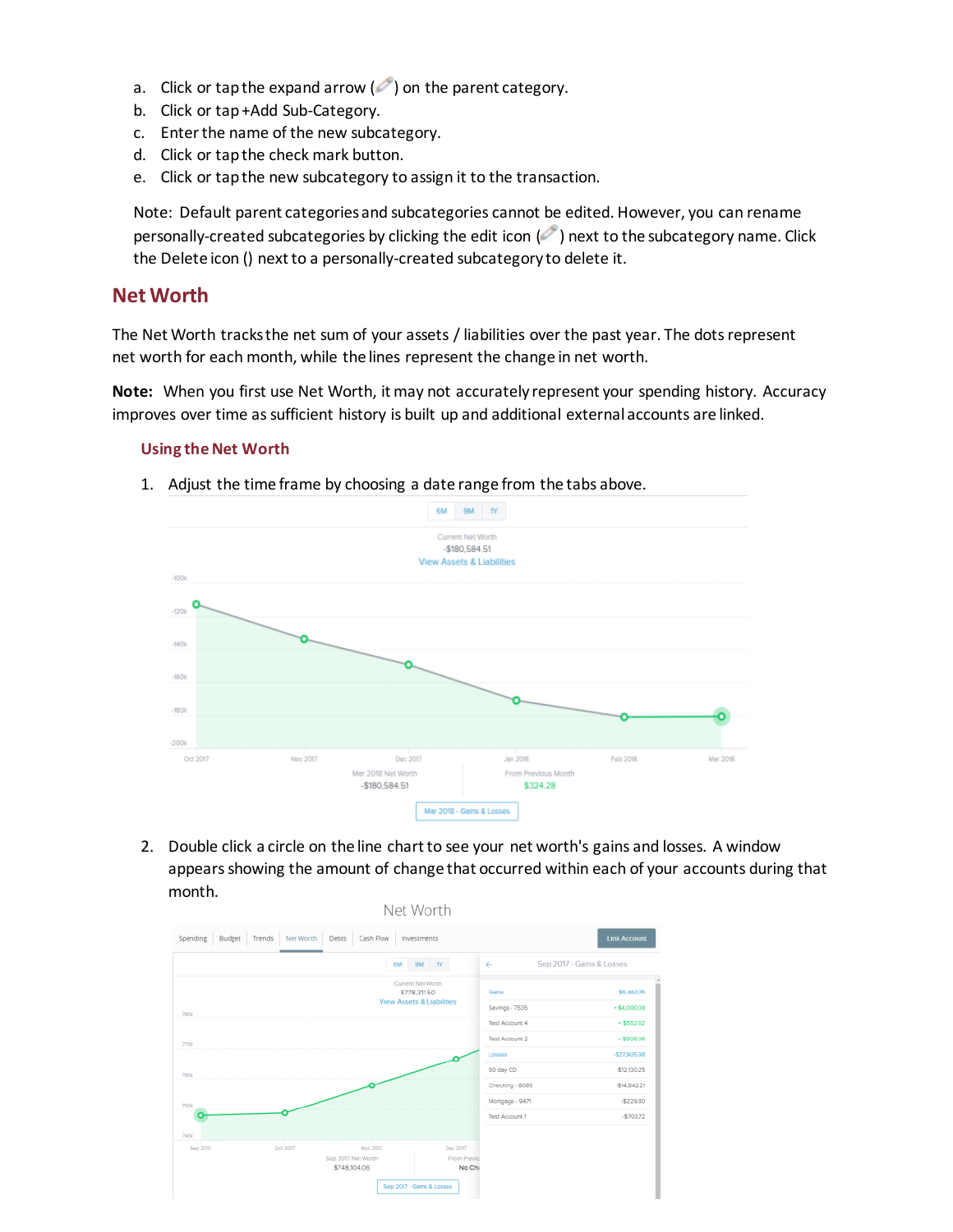- a. Click or tap the expand arrow  $($   $)$  on the parent category.
- b. Click or tap +Add Sub-Category.
- c. Enter the name of the new subcategory.
- d. Click or tap the check mark button.
- e. Click or tap the new subcategory to assign it to the transaction.

Note: Default parent categories and subcategories cannot be edited. However, you can rename personally-created subcategories by clicking the edit icon  $($ ) next to the subcategory name. Click the Delete icon () next to a personally-created subcategory to delete it.

# **Net Worth**

The Net Worth tracks the net sum of your assets / liabilities over the past year. The dots represent net worth for each month, while the lines represent the change in net worth.

**Note:** When you first use Net Worth, it may not accurately represent your spending history. Accuracy improves over time as sufficient history is built up and additional external accounts are linked.

#### **Using the Net Worth**



1. Adjust the time frame by choosing a date range from the tabs above.

2. Double click a circle on the line chart to see your net worth's gains and losses. A window appears showing the amount of change that occurred within each of your accounts during that month.

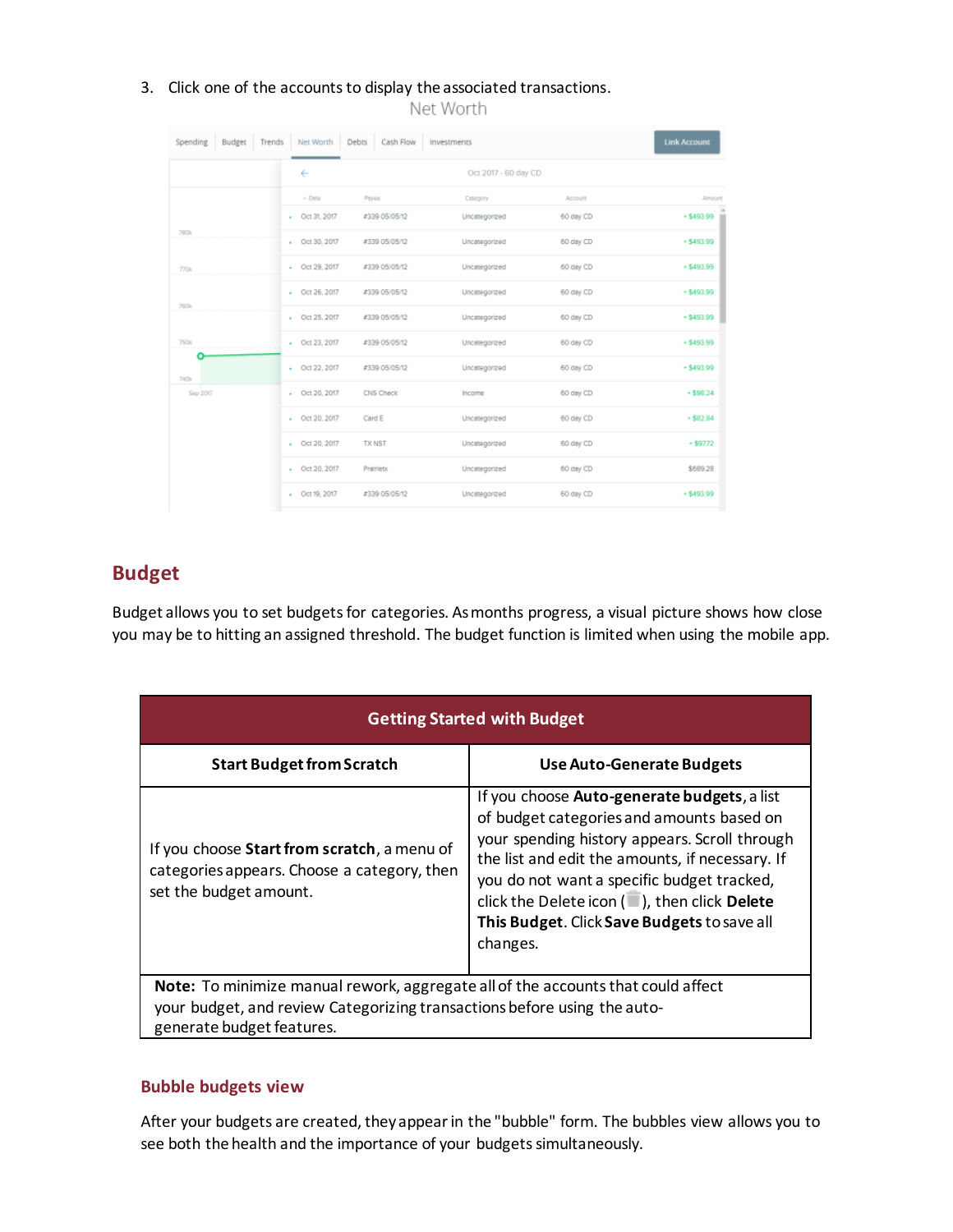# 3. Click one of the accounts to display the associated transactions.

Net Worth

| Trends<br>Spending<br>Budget | Net Worth                    | Cash Flow<br>Debts | Investments          |           | <b>Link Account</b> |
|------------------------------|------------------------------|--------------------|----------------------|-----------|---------------------|
|                              | ÷                            |                    | Oct 2017 - 60 day CD |           |                     |
|                              | $~\vee$ Deta                 | Peyco              | Catagory             | Account   | Amount              |
|                              | Oct 31, 2017<br>٠            | #339 05/05/12      | Uncetegorized        | 60 day CD | $+ $493.99$         |
| 780k                         | Oct 30, 2017<br>٠            | #339 05/05/12      | Uncategorized        | 60 day CD | $+ $493.99$         |
| 770k                         | Oct 29, 2017<br>$\mathbf{r}$ | #339 05/05/12      | Uncategorized        | 60 day CD | $+ $493.99$         |
|                              | Oct 26, 2017<br>$\sim$       | #339 05/05/12      | Uncategorized        | 60 day CD | $+ $493.99$         |
| 760k                         | Oct 25, 2017<br>٠            | #339 05/05/12      | Uncategorized        | 60 day CD | $+ $493.99$         |
| 750k                         | Oct 23, 2017<br>$\sim$       | #339 05/05/12      | Uncetegorized        | 60 day CD | $+ $493.99$         |
| o<br>740k                    | Oct 22, 2017<br>$\sim$       | #339 05/05/12      | Uncategorized        | 60 day CD | $+ $493.99$         |
| Sap 2017                     | Oct 20, 2017<br>$\sim$       | CNS Check          | Income               | 60 day CD | $+ $98.24$          |
|                              | Oct 20, 2017<br>$\mathbf{r}$ | Card E             | Uncetegorized        | 60 day CD | $+ $82.84$          |
|                              | Oct 20, 2017<br>$\sim$       | TX NST             | Uncategorized        | 60 day CD | $+ $9772$           |
|                              | Oct 20, 2017<br>٠            | Prairietx          | Uncategorized        | 60 day CD | \$689.28            |
|                              | Oct 19, 2017<br>$\sim$       | #339 05/05/12      | Uncategorized        | 60 day CD | $+ $493.99$         |

# **Budget**

Budget allows you to set budgets for categories. As months progress, a visual picture shows how close you may be to hitting an assigned threshold. The budget function is limited when using the mobile app.

| <b>Getting Started with Budget</b>                                                                                                                                                        |                                                                                                                                                                                                                                                                                                                                                                     |  |
|-------------------------------------------------------------------------------------------------------------------------------------------------------------------------------------------|---------------------------------------------------------------------------------------------------------------------------------------------------------------------------------------------------------------------------------------------------------------------------------------------------------------------------------------------------------------------|--|
| <b>Start Budget from Scratch</b>                                                                                                                                                          | <b>Use Auto-Generate Budgets</b>                                                                                                                                                                                                                                                                                                                                    |  |
| If you choose Start from scratch, a menu of<br>categories appears. Choose a category, then<br>set the budget amount.                                                                      | If you choose Auto-generate budgets, a list<br>of budget categories and amounts based on<br>vour spending history appears. Scroll through<br>the list and edit the amounts, if necessary. If<br>you do not want a specific budget tracked,<br>click the Delete icon $(\blacksquare)$ , then click Delete<br>This Budget. Click Save Budgets to save all<br>changes. |  |
| Note: To minimize manual rework, aggregate all of the accounts that could affect<br>your budget, and review Categorizing transactions before using the auto-<br>generate budget features. |                                                                                                                                                                                                                                                                                                                                                                     |  |

# **Bubble budgets view**

After your budgets are created, they appear in the "bubble" form. The bubbles view allows you to see both the health and the importance of your budgets simultaneously.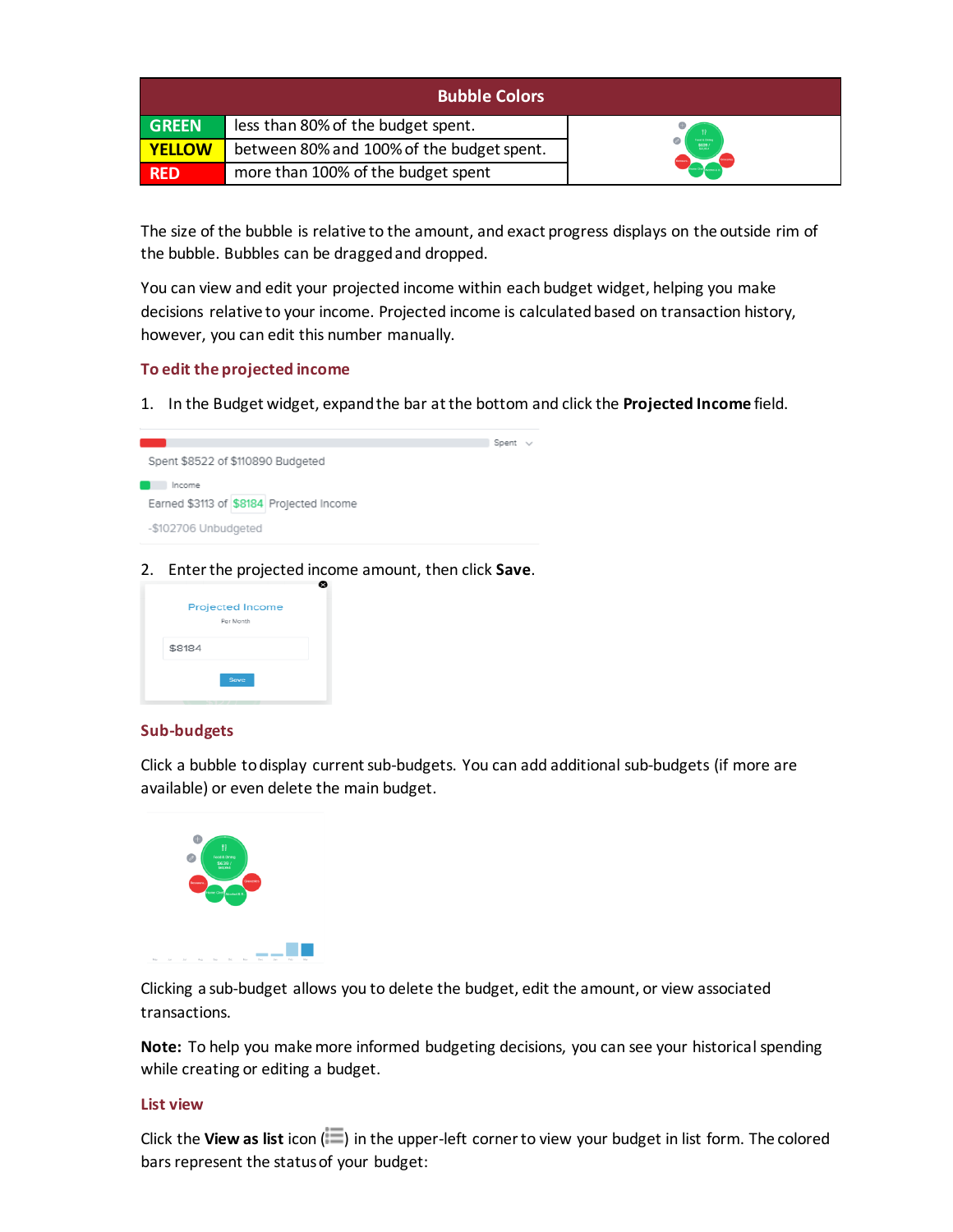| <b>Bubble Colors</b> |                                           |                                  |  |  |
|----------------------|-------------------------------------------|----------------------------------|--|--|
| <b>GREEN</b>         | less than 80% of the budget spent.        |                                  |  |  |
| <b>YELLOW</b>        | between 80% and 100% of the budget spent. | <b>Food &amp; Cenne</b><br>\$639 |  |  |
| <b>RED</b>           | more than 100% of the budget spent        |                                  |  |  |

The size of the bubble is relative to the amount, and exact progress displays on the outside rim of the bubble. Bubbles can be dragged and dropped.

You can view and edit your projected income within each budget widget, helping you make decisions relative to your income. Projected income is calculated based on transaction history, however, you can edit this number manually.

# **To edit the projected income**

1. In the Budget widget, expand the bar at the bottom and click the **Projected Income** field.



2. Enter the projected income amount, then click **Save**.

|        | <b>Projected Income</b><br>Per Month |
|--------|--------------------------------------|
| \$8184 |                                      |
|        | Save                                 |

#### **Sub-budgets**

Click a bubble to display current sub-budgets. You can add additional sub-budgets (if more are available) or even delete the main budget.



Clicking a sub-budget allows you to delete the budget, edit the amount, or view associated transactions.

**Note:** To help you make more informed budgeting decisions, you can see your historical spending while creating or editing a budget.

#### **List view**

Click the **View as list** icon ( $\Box$ ) in the upper-left corner to view your budget in list form. The colored bars represent the status of your budget: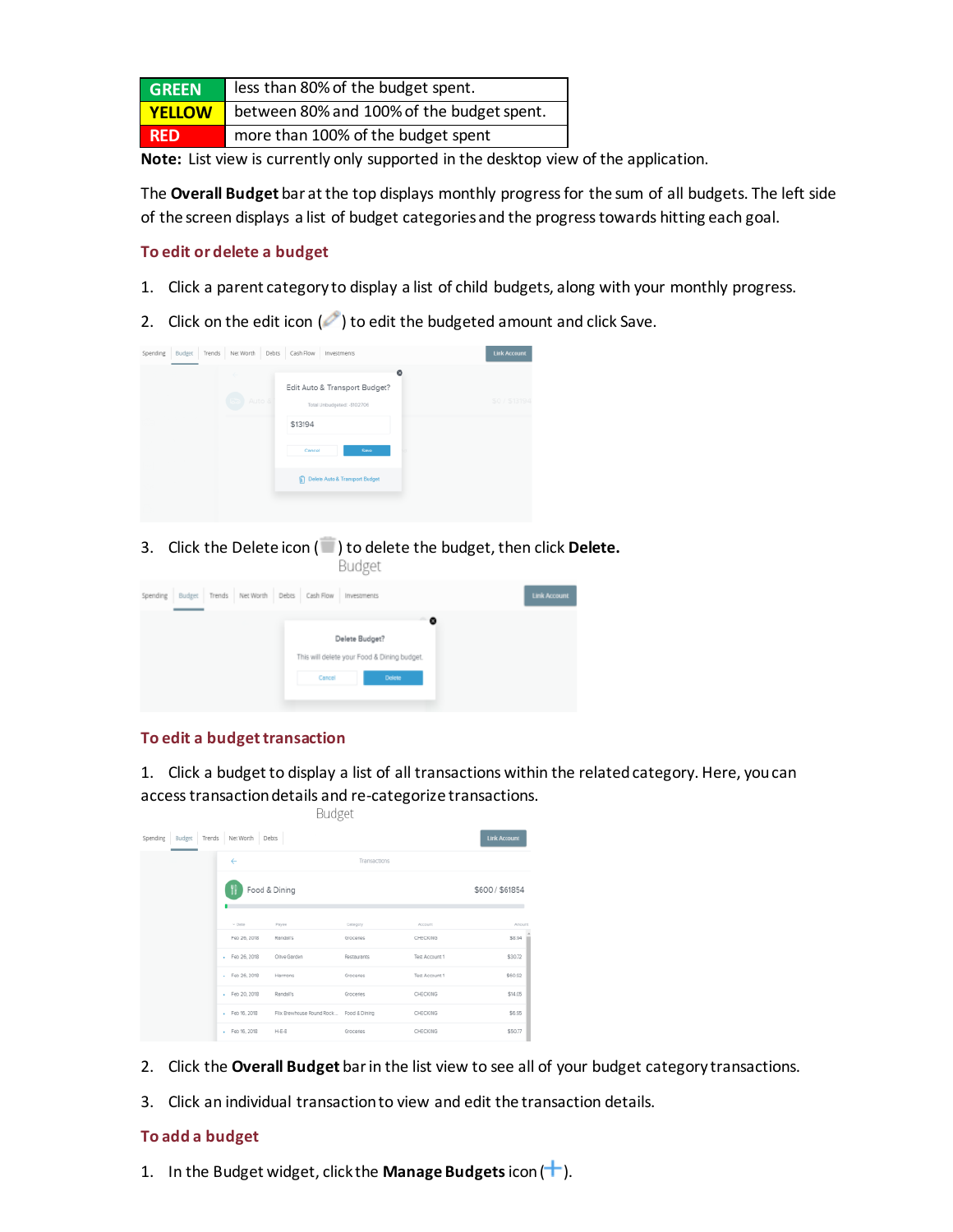| <b>GREEN</b>  | less than 80% of the budget spent.        |
|---------------|-------------------------------------------|
| <b>YELLOW</b> | between 80% and 100% of the budget spent. |
| <b>RED</b>    | more than 100% of the budget spent        |

**Note:** List view is currently only supported in the desktop view of the application.

The **Overall Budget** bar at the top displays monthly progress for the sum of all budgets. The left side of the screen displays a list of budget categories and the progress towards hitting each goal.

# **To edit or delete a budget**

- 1. Click a parent category to display a list of child budgets, along with your monthly progress.
- 2. Click on the edit icon  $($   $)$  to edit the budgeted amount and click Save.

| Spending<br><b>Budget</b> | Trends<br>Net Worth<br>Debts | Cash Flow<br>Investments                                          | <b>Link Account</b> |
|---------------------------|------------------------------|-------------------------------------------------------------------|---------------------|
|                           | Auto &                       | O<br>Edit Auto & Transport Budget?<br>Total Unbudgeted: -\$102706 | \$0 / \$13194       |
|                           |                              | \$13194<br>Cancel<br>Save                                         |                     |
|                           |                              | Delete Auto & Transport Budget                                    |                     |
|                           |                              |                                                                   |                     |

3. Click the Delete icon ( $\Box$ ) to delete the budget, then click Delete.

Budget

| Trends Net Worth Debts Cash Flow<br>Spending<br><b>Budget</b><br>_ | <b>Link Account</b><br>Investments                                                  |
|--------------------------------------------------------------------|-------------------------------------------------------------------------------------|
| Cancel                                                             | ø<br>Delete Budget?<br>This will delete your Food & Dining budget.<br><b>Delete</b> |

## **To edit a budget transaction**

1. Click a budget to display a list of all transactions within the related category. Here, you can access transaction details and re-categorize transactions.<br>Budget

|                              |                | $-0.9$                                  |              |                |                     |
|------------------------------|----------------|-----------------------------------------|--------------|----------------|---------------------|
| Spending<br>Budget<br>Trends | Net Worth      | Debts                                   |              |                | <b>Link Account</b> |
|                              | $\leftarrow$   |                                         | Transactions |                |                     |
|                              |                | Food & Dining                           |              |                | \$600 / \$61854     |
|                              | $\vee$ Data    | Payee                                   | Category     | Account        | Amount              |
|                              | Feb 26, 2018   | Randall's                               | Groceries    | CHECKING       | \$8.94              |
|                              | - Feb 26, 2018 | Olive Garden                            | Restaurants  | Test Account 1 | \$30.72             |
|                              | - Feb 26, 2018 | Harmons                                 | Groceries    | Test Account 1 | \$60.92             |
|                              | - Feb 20, 2018 | Randall's                               | Groceries    | CHECKING       | \$14.05             |
|                              | . Feb 16, 2018 | Flix Brewhouse Round Rock Food & Dining |              | CHECKING       | \$6.95              |
|                              | + Feb 16, 2018 | HE8                                     | Groceries    | CHECKING       | \$50.77             |

- 2. Click the **Overall Budget** bar in the list view to see all of your budget category transactions.
- 3. Click an individual transaction to view and edit the transaction details.

## **To add a budget**

1. In the Budget widget, click the **Manage Budgets**icon ( ).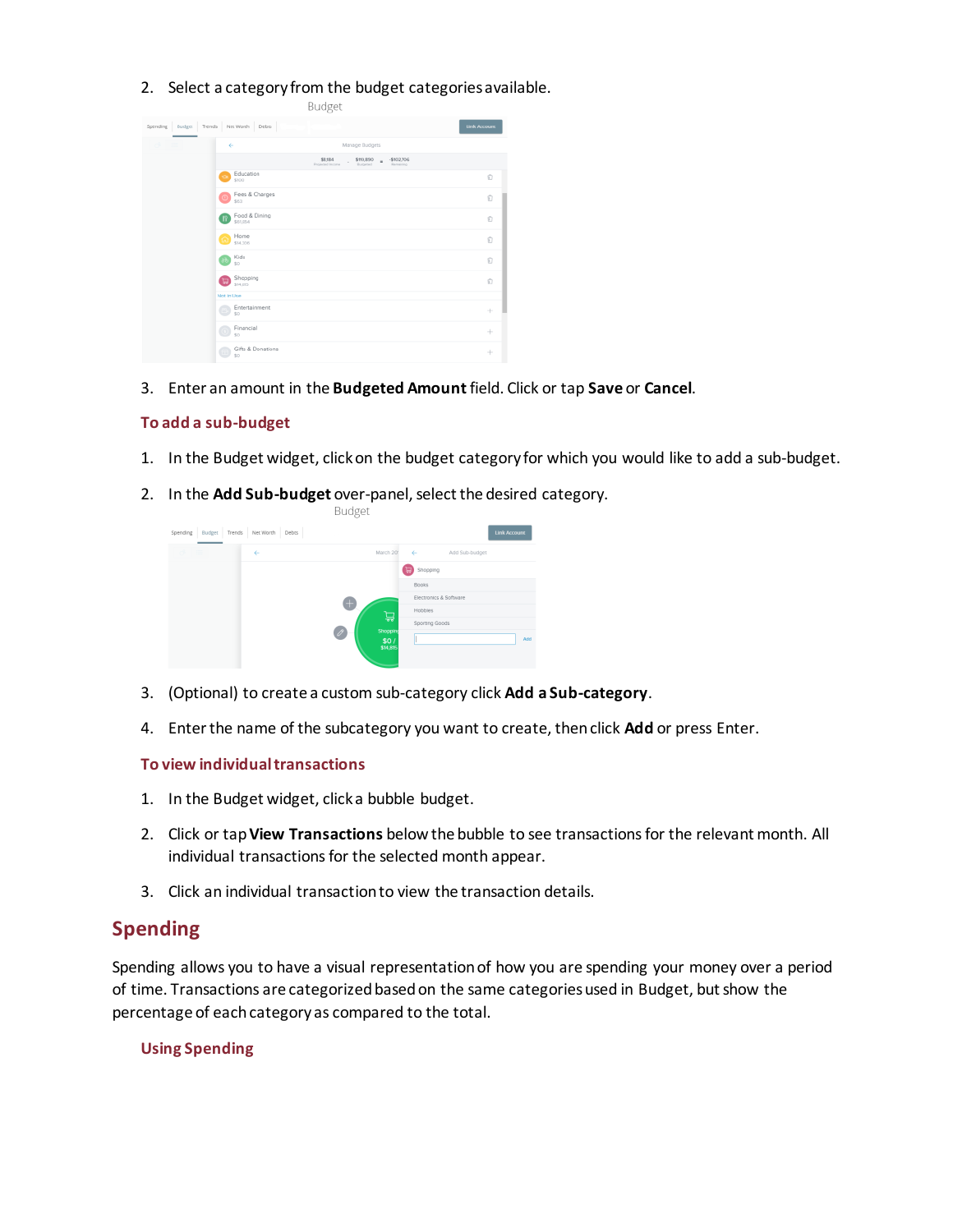2. Select a category from the budget categories available.

|                          |                             | <b>Purp</b>                                                                 |                     |
|--------------------------|-----------------------------|-----------------------------------------------------------------------------|---------------------|
| pending<br>Budget Trends | Net Worth Debts             |                                                                             | <b>Link Account</b> |
|                          | e.                          | Manage Budgets                                                              |                     |
|                          |                             | \$9,184<br>$-$ 5110,890 $=$<br>$-5102,706$<br>Projected Income<br>Remaining |                     |
|                          | Education<br>۰<br>\$100     |                                                                             | $\Omega$            |
|                          | Fees & Charges<br>o<br>\$53 |                                                                             | £)                  |
|                          | Food & Dining<br>\$51,054   |                                                                             | Ū                   |
|                          | Home<br>\$14,306            |                                                                             | Ū                   |
|                          | Kids<br>Ъ,<br>\$0           |                                                                             | $\Omega$            |
|                          | Shopping<br>\$14,015        |                                                                             | Đ                   |
|                          | Not in Use                  |                                                                             |                     |
|                          | Entertainment<br>\$0        |                                                                             | $\frac{1}{2}$       |
|                          | Financial<br>ω<br>50        |                                                                             | $\frac{1}{2}$       |
|                          | Gifts & Donations<br>50     |                                                                             | ÷                   |

3. Enter an amount in the **Budgeted Amount** field. Click or tap **Save** or **Cancel**.

#### **To add a sub-budget**

- 1. In the Budget widget, click on the budget category for which you would like to add a sub-budget.
- 2. In the **Add Sub-budget** over-panel, select the desired category.



- 3. (Optional) to create a custom sub-category click **Add a Sub-category**.
- 4. Enter the name of the subcategory you want to create, then click **Add** or press Enter.

#### **To view individual transactions**

- 1. In the Budget widget, click a bubble budget.
- 2. Click or tap**View Transactions** below the bubble to see transactions for the relevant month. All individual transactions for the selected month appear.
- 3. Click an individual transaction to view the transaction details.

# **Spending**

Spending allows you to have a visual representation of how you are spending your money over a period of time. Transactions are categorized based on the same categories used in Budget, but show the percentage of each category as compared to the total.

## **Using Spending**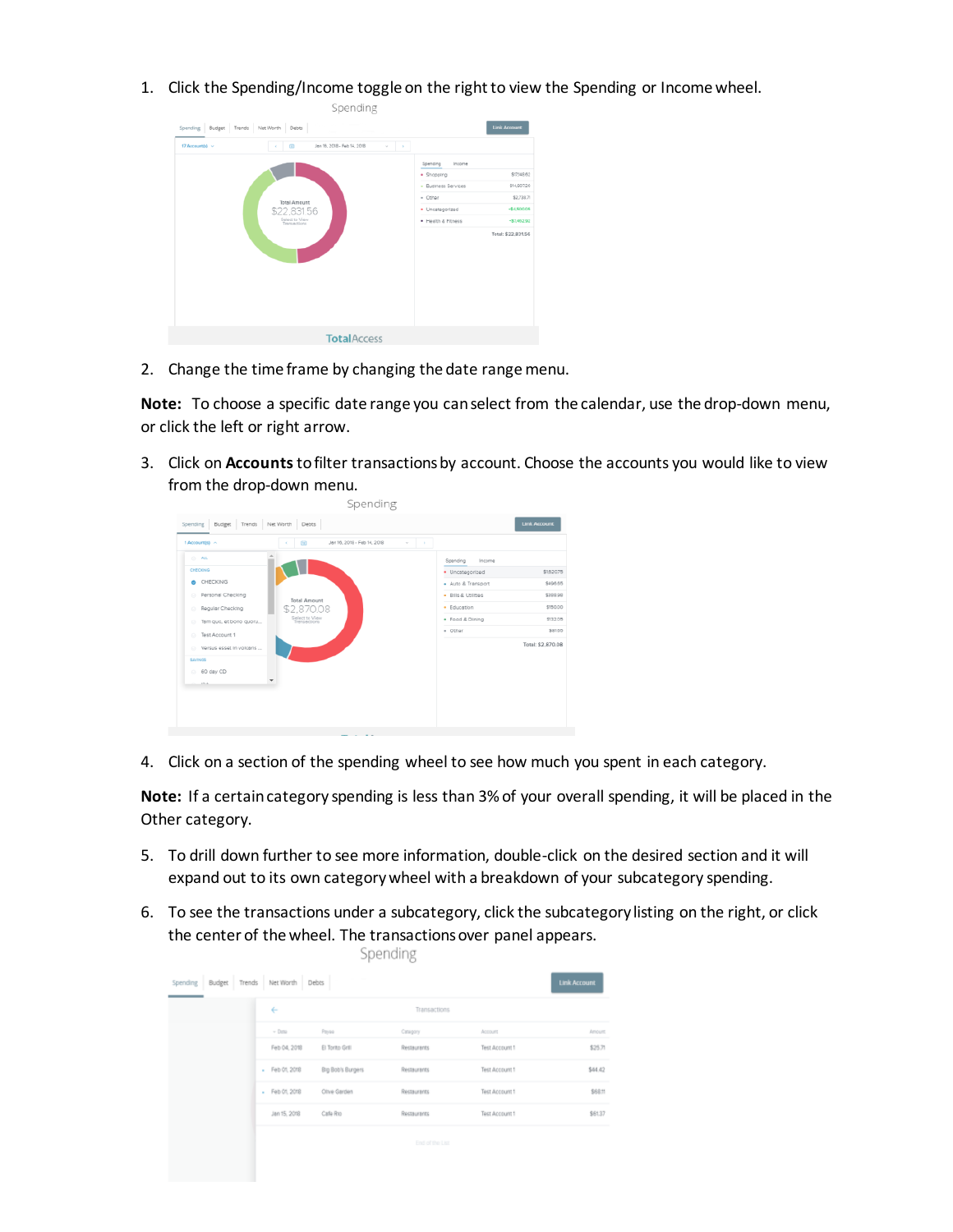1. Click the Spending/Income toggle on the right to view the Spending or Income wheel.

| 17 Account(s) v | Jan 16, 2018 - Feb 14, 2018<br>面                                     | v<br>٠                                                                                                                                                                                                      |
|-----------------|----------------------------------------------------------------------|-------------------------------------------------------------------------------------------------------------------------------------------------------------------------------------------------------------|
|                 | <b>Total Amount</b><br>\$22,831.56<br>Select to View<br>Transactions | Spending<br>Income<br>\$17148.62<br>· Shopping<br>· Busmess Services<br>\$14,907.20<br>\$2,738.71<br>- Other<br>$-$4,500.06$<br>· Uncategorized<br>· Health & Fitness<br>$+57,462.92$<br>Total: \$22,831.56 |

2. Change the time frame by changing the date range menu.

**Note:** To choose a specific date range you can select from the calendar, use the drop-down menu, or click the left or right arrow.

3. Click on **Accounts**to filter transactions by account. Choose the accounts you would like to view from the drop-down menu.

| $CD = ALL$               |                     |                                       |                   |
|--------------------------|---------------------|---------------------------------------|-------------------|
| CHECKING                 |                     | Spending<br>Income<br>· Uncategorized | \$1,620.75        |
| CHECKING                 |                     | · Auto & Transport                    | \$496.65          |
| <b>Personal Checking</b> | <b>Total Amount</b> | - Bills & Utilities                   | \$389.98          |
| Regular Checking         | \$2,870.08          | · Education                           | \$150.00          |
| Tem quo, et bono quoru   | Select to View      | · Food & Dining                       | \$132.05          |
| <b>D</b> Test Account 1  |                     | - Other                               | \$91.65           |
| Nersus esset in volcans  |                     |                                       | Total: \$2,870.08 |
| \$2,0050                 |                     |                                       |                   |
| 60 day CD                |                     |                                       |                   |
| ana.                     |                     |                                       |                   |

4. Click on a section of the spending wheel to see how much you spent in each category.

**Note:** If a certain category spending is less than 3% of your overall spending, it will be placed in the Other category.

- 5. To drill down further to see more information, double-click on the desired section and it will expand out to its own category wheel with a breakdown of your subcategory spending.
- 6. To see the transactions under a subcategory, click the subcategory listing on the right, or click the center of the wheel. The transactions over panel appears.Sponding

|                 |                     |                   | Sherian is      |                |                     |
|-----------------|---------------------|-------------------|-----------------|----------------|---------------------|
| Spending Budget | Net Worth<br>Trends | Debts             |                 |                | <b>Link Account</b> |
|                 | ÷                   |                   | Transactions    |                |                     |
|                 | $-$ Deta            | Payea             | Catagory        | Account        | Amount.             |
|                 | Feb 04, 2018        | El Torito Grill   | Restaurants     | Test Account 1 | \$25.71             |
|                 | - Feb 01, 2018      | Big Bob's Burgers | Restaurants     | Test Account 1 | \$44.42             |
|                 | - Feb 01, 2018      | Olive Garden      | Restaurants     | Test Account 1 | \$68.11             |
|                 | Jan 15, 2018        | Cafe Rto          | Restaurants     | Test Account 1 | \$61.37             |
|                 |                     |                   | End of the List |                |                     |
|                 |                     |                   |                 |                |                     |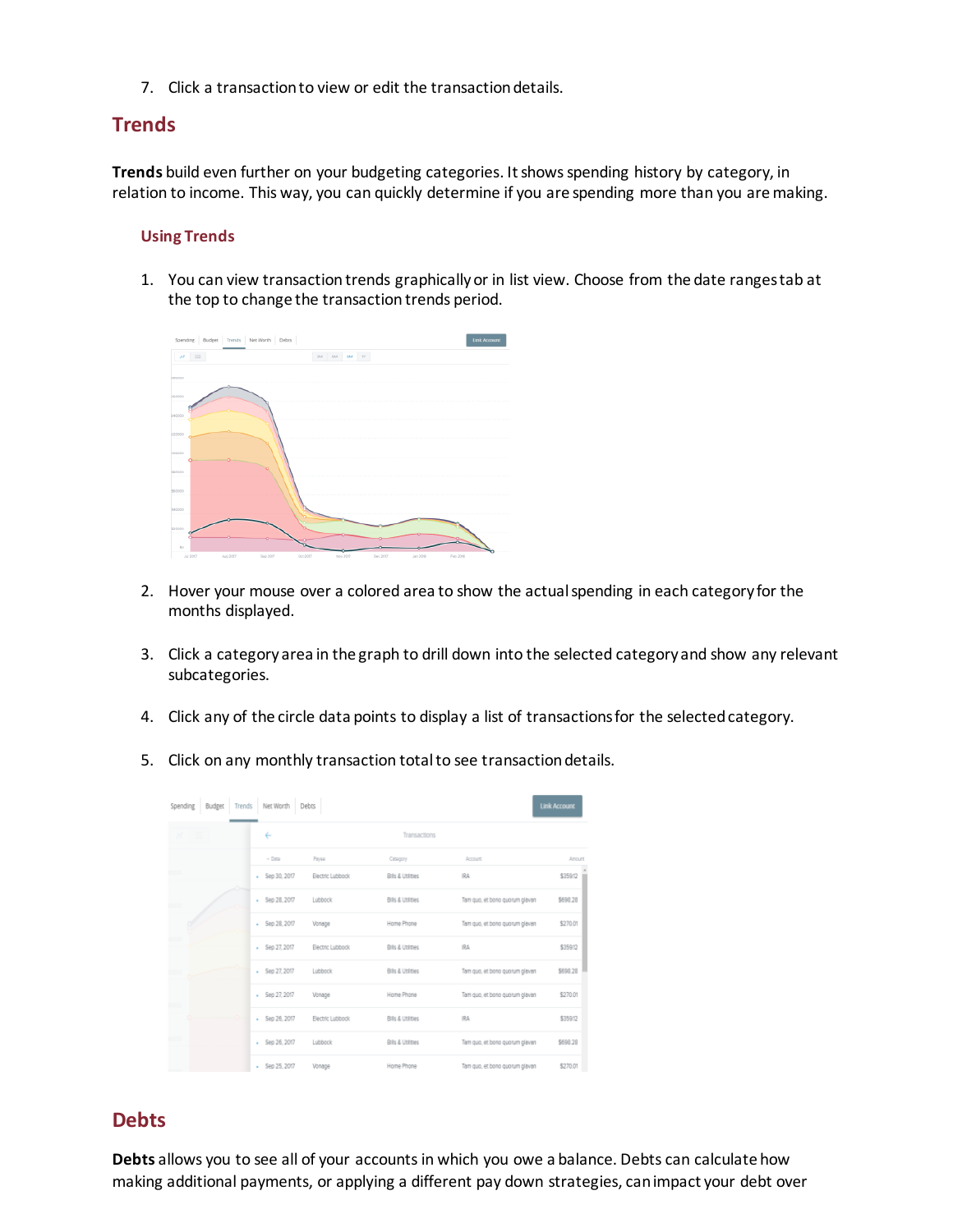7. Click a transaction to view or edit the transaction details.

# **Trends**

**Trends** build even further on your budgeting categories. It shows spending history by category, in relation to income. This way, you can quickly determine if you are spending more than you are making.

## **Using Trends**

1. You can view transaction trends graphically or in list view. Choose from the date ranges tab at the top to change the transaction trends period.

| Spending   Budget   Trends   Net Worth   Debts |          |            |          |                                                         |         |          | Link Account |
|------------------------------------------------|----------|------------|----------|---------------------------------------------------------|---------|----------|--------------|
| $N$ $\equiv$                                   |          |            |          | $\mathsf{SM} = \mathsf{GM} = \mathsf{SM} = \mathsf{TV}$ |         |          |              |
| 380000                                         |          |            |          |                                                         |         |          |              |
| 000000                                         |          |            |          |                                                         |         |          |              |
| 340000                                         |          |            |          |                                                         |         |          |              |
| 320000                                         |          |            |          |                                                         |         |          |              |
| 100000                                         | ۰        |            |          |                                                         |         |          |              |
| \$90000                                        |          |            |          |                                                         |         |          |              |
| \$50000                                        |          |            |          |                                                         |         |          |              |
| \$40000                                        |          |            |          |                                                         |         |          |              |
| \$30000                                        |          |            |          |                                                         |         |          |              |
| $50$                                           |          |            |          |                                                         |         |          |              |
| 34.2017                                        | Aug 2017 | $Sap$ 2007 | Oct 2017 | Nov 2017                                                | Dec 200 | Jan 2019 | Feb 2018     |

- 2. Hover your mouse over a colored area to show the actual spending in each category for the months displayed.
- 3. Click a category area in the graph to drill down into the selected category and show any relevant subcategories.
- 4. Click any of the circle data points to display a list of transactions for the selected category.
- 5. Click on any monthly transaction total to see transaction details.

| Spending<br>Budget | Net Worth<br>Trends | Debts            |                              |                                | <b>Link Account</b> |
|--------------------|---------------------|------------------|------------------------------|--------------------------------|---------------------|
| $=$                | ←                   |                  | Transactions                 |                                |                     |
|                    | $-$ Data            | Payee            | Catagory                     | Account                        | Amount              |
| <b>START</b>       | - Sep 30, 2017      | Electric Lubbock | Bills & Utilities            | IRA                            | \$359.12            |
| 6000               | - Sep 28, 2017      | Lubbock          | Bills & Utilities            | Tam quo, et bono quorum glavan | \$698.28            |
|                    | - Sep 28, 2017      | Vonage           | Home Phone                   | Tam guo, et bono guorum glavan | \$270.01            |
|                    | · Sep 27, 2017      | Electric Lubbock | <b>Bills &amp; Utilities</b> | IRA                            | \$35912             |
|                    | - Sep 27, 2017      | Lubbock          | Bills & Utilities            | Tam quo, et bono quorum glavan | \$698.28            |
| coose              | · Sep 27, 2017      | Vonage           | Home Phone                   | Tam quo, et bono quorum glavan | \$270.01            |
|                    | - Sep 26, 2017      | Electric Lubbock | Bills & Utilities            | IRA                            | \$359.12            |
|                    | · Sep 26, 2017      | Lubbock          | <b>Bills &amp; Utilities</b> | Tam quo, et bono quorum glavan | \$698.28            |
|                    | - Sep 25, 2017      | Vonage           | Home Phone                   | Tam quo, et bono quorum glavan | \$270.01            |

# **Debts**

**Debts** allows you to see all of your accounts in which you owe a balance. Debts can calculate how making additional payments, or applying a different pay down strategies, can impact your debt over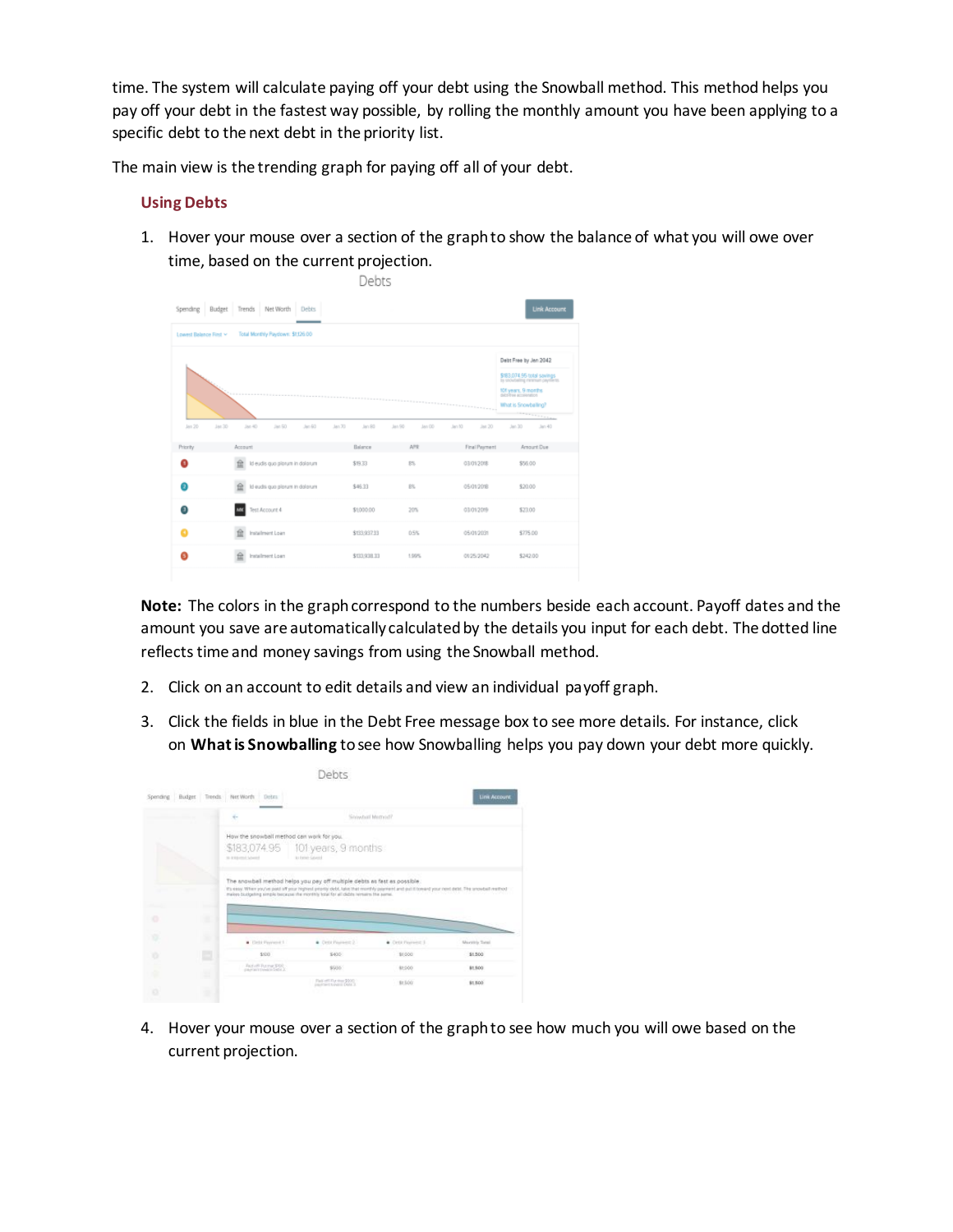time. The system will calculate paying off your debt using the Snowball method. This method helps you pay off your debt in the fastest way possible, by rolling the monthly amount you have been applying to a specific debt to the next debt in the priority list.

The main view is the trending graph for paying off all of your debt.

## **Using Debts**

1. Hover your mouse over a section of the graph to show the balance of what you will owe over time, based on the current projection.

|                        |                                              | Debts            |                                                             |               |                                                                           |
|------------------------|----------------------------------------------|------------------|-------------------------------------------------------------|---------------|---------------------------------------------------------------------------|
| Spending<br>Budget     | Trends<br>Net Worth<br>Debts                 |                  |                                                             |               | <b>Unk Account</b>                                                        |
| Lowest Balance First v | Total Monthly Paydown: \$1126.00             |                  |                                                             |               |                                                                           |
|                        |                                              |                  |                                                             |               | Debt Free by Jan 2042                                                     |
|                        |                                              |                  |                                                             |               | \$183,074.95 total savings<br>101 years, 9 months<br>decline acceleration |
|                        |                                              |                  | (1) 在此的时间,如今的时间是我的的时候,我们的时候我们的时候,我们的时候,我们的时候,我们的时候,我们的时候,我们 |               | What is Snowballing?                                                      |
| Jan 30<br>Jan 20       | Jan 50<br>$3a + 60$<br>Jan 70<br>$348 - 400$ | Jan 90<br>Jan 80 | Jan 00<br>Dit nel.                                          | $3a20$        | Jan40<br>3a30                                                             |
| Priority               | Account                                      | Balance          | APR                                                         | Final Payment | Arnount Due                                                               |
| n                      | Id eudis quo piorum in dolorum<br>鱼          | \$19.33          | 8%                                                          | 03/01/20fB    | \$56.00                                                                   |
| σ                      | 슢<br>Id eudis quo plorum in dolorum          | \$46.33          | 8%                                                          | 05/01/2018    | \$20.00                                                                   |
| Ω                      | Test Account 4<br><b>MK</b>                  | \$1,000.00       | 20%                                                         | 03/01/2019    | \$23.00                                                                   |
|                        |                                              |                  |                                                             |               |                                                                           |
|                        | 宜<br>Installment Loan                        | \$133, 937.33    | 0.5%                                                        | 05/01/2031    | \$775.00                                                                  |

**Note:** The colors in the graph correspond to the numbers beside each account. Payoff dates and the amount you save are automatically calculated by the details you input for each debt. The dotted line reflects time and money savings from using the Snowball method.

- 2. Click on an account to edit details and view an individual payoff graph.
- 3. Click the fields in blue in the Debt Free message box to see more details. For instance, click on **What is Snowballing** to see how Snowballing helps you pay down your debt more quickly.

|                    |                                                                                 | Debts                                                                                                                                                                                                                                                                                                       |                  |               |
|--------------------|---------------------------------------------------------------------------------|-------------------------------------------------------------------------------------------------------------------------------------------------------------------------------------------------------------------------------------------------------------------------------------------------------------|------------------|---------------|
| Budaer<br>Spending | Trends<br>Net Worth<br>Detes:                                                   |                                                                                                                                                                                                                                                                                                             |                  | Link Account. |
|                    | ÷                                                                               |                                                                                                                                                                                                                                                                                                             | Showball Method? |               |
|                    | How the snowball method can work for you.<br>\$183,074.95<br>to a present Sheet | 101 years, 9 months<br>to Fener-Govern                                                                                                                                                                                                                                                                      |                  |               |
|                    |                                                                                 | The snowbell method helps you pay off multiple debts as fast as possible.<br>If a easy. When you've paid all your highest pointy debt, lake that monthly payment and put it toward your next debt. The snowball method<br>makes budgeting simple because the monthly total for all debts remains the sense. |                  |               |
| ٠                  |                                                                                 |                                                                                                                                                                                                                                                                                                             |                  |               |
| ø<br>٠             | Clets Payner 1                                                                  | Cent Payment 2                                                                                                                                                                                                                                                                                              | Cent Payment 3   | Monthly Total |
| ۸<br>ю             | \$500                                                                           | \$400                                                                                                                                                                                                                                                                                                       | \$1000           | \$1,500       |
| ٠<br>×             | Fairfield-Put may \$500                                                         | \$900                                                                                                                                                                                                                                                                                                       | 81000            | 81,500        |
| ×<br>٠             |                                                                                 | Fask off For that \$500.<br>instructional Data 3.                                                                                                                                                                                                                                                           | \$15.00          | \$1,500       |

4. Hover your mouse over a section of the graph to see how much you will owe based on the current projection.